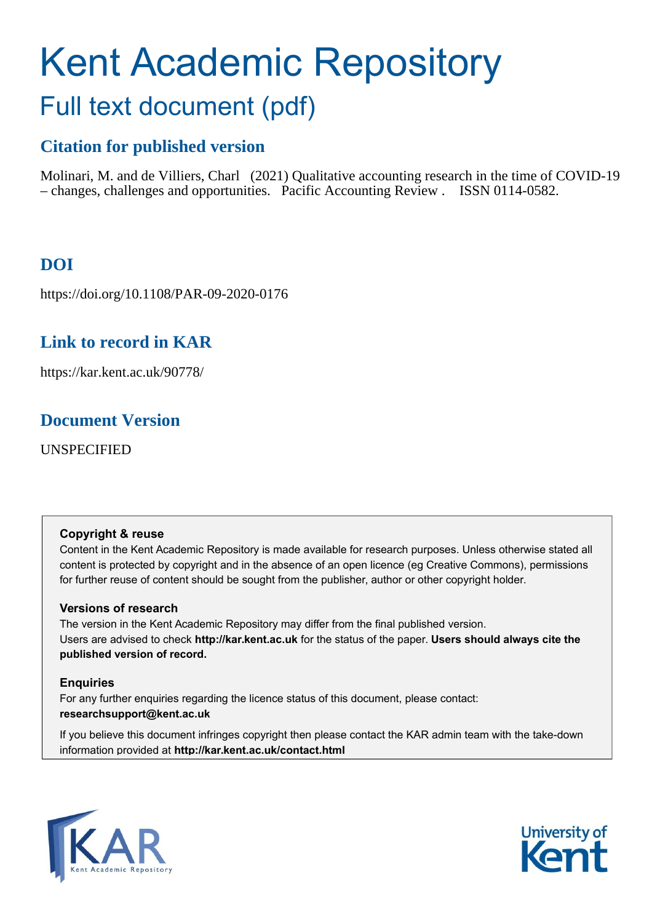# Kent Academic Repository Full text document (pdf)

# **Citation for published version**

Molinari, M. and de Villiers, Charl (2021) Qualitative accounting research in the time of COVID-19 – changes, challenges and opportunities. Pacific Accounting Review . ISSN 0114-0582.

# **DOI**

https://doi.org/10.1108/PAR-09-2020-0176

# **Link to record in KAR**

https://kar.kent.ac.uk/90778/

# **Document Version**

UNSPECIFIED

## **Copyright & reuse**

Content in the Kent Academic Repository is made available for research purposes. Unless otherwise stated all content is protected by copyright and in the absence of an open licence (eg Creative Commons), permissions for further reuse of content should be sought from the publisher, author or other copyright holder.

## **Versions of research**

The version in the Kent Academic Repository may differ from the final published version. Users are advised to check **http://kar.kent.ac.uk** for the status of the paper. **Users should always cite the published version of record.**

## **Enquiries**

For any further enquiries regarding the licence status of this document, please contact: **researchsupport@kent.ac.uk**

If you believe this document infringes copyright then please contact the KAR admin team with the take-down information provided at **http://kar.kent.ac.uk/contact.html**



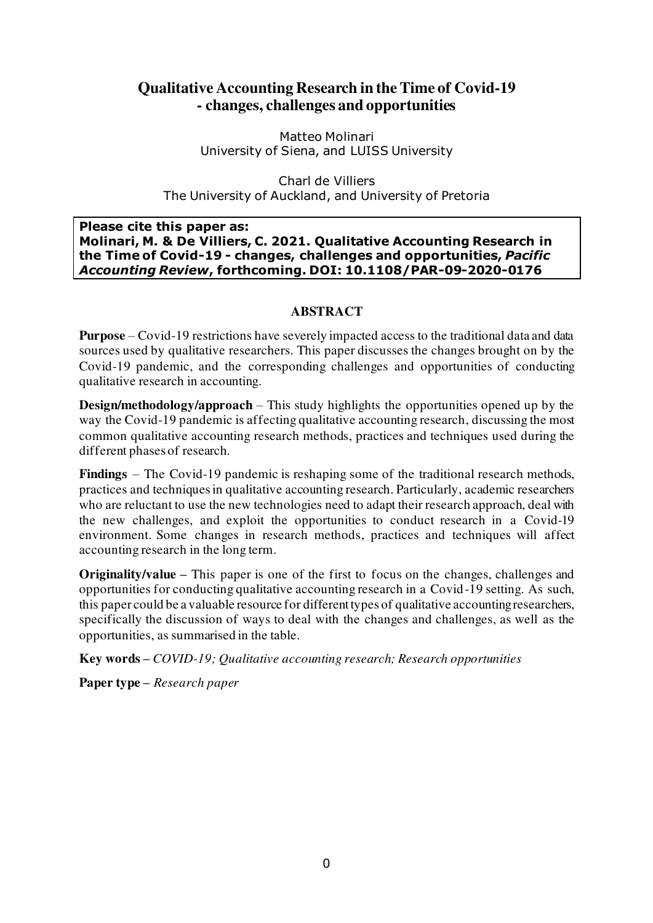## **Qualitative Accounting Research in the Time of Covid-19 - changes, challenges and opportunities**

Matteo Molinari University of Siena, and LUISS University

Charl de Villiers The University of Auckland, and University of Pretoria

## **Please cite this paper as: Molinari, M. & De Villiers, C. 2021. Qualitative Accounting Research in the Time of Covid-19 - changes, challenges and opportunities,** *Pacific Accounting Review***, forthcoming. DOI: 10.1108/PAR-09-2020-0176**

## **ABSTRACT**

**Purpose** – Covid-19 restrictions have severely impacted access to the traditional data and data sources used by qualitative researchers. This paper discusses the changes brought on by the Covid-19 pandemic, and the corresponding challenges and opportunities of conducting qualitative research in accounting.

**Design/methodology/approach** – This study highlights the opportunities opened up by the way the Covid-19 pandemic is affecting qualitative accounting research, discussing the most common qualitative accounting research methods, practices and techniques used during the different phases of research.

**Findings** – The Covid-19 pandemic is reshaping some of the traditional research methods, practices and techniques in qualitative accounting research. Particularly, academic researchers who are reluctant to use the new technologies need to adapt their research approach, deal with the new challenges, and exploit the opportunities to conduct research in a Covid-19 environment. Some changes in research methods, practices and techniques will affect accounting research in the long term.

**Originality/value –** This paper is one of the first to focus on the changes, challenges and opportunities for conducting qualitative accounting research in a Covid-19 setting. As such, this paper could be a valuable resource for different types of qualitative accounting researchers, specifically the discussion of ways to deal with the changes and challenges, as well as the opportunities, as summarised in the table.

**Key words –** *COVID-19; Qualitative accounting research; Research opportunities*

**Paper type –** *Research paper*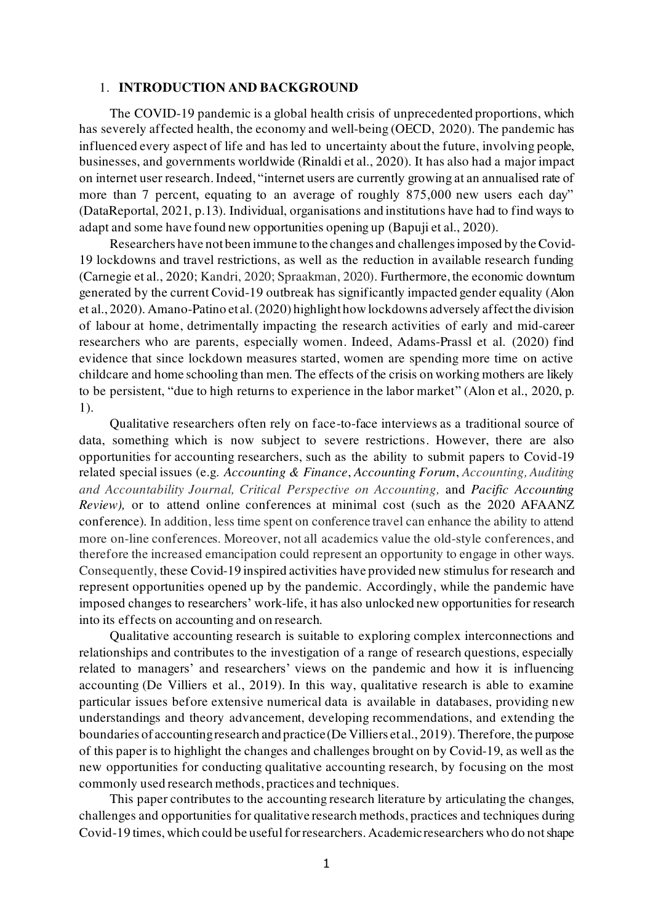### 1. **INTRODUCTION AND BACKGROUND**

The COVID-19 pandemic is a global health crisis of unprecedented proportions, which has severely affected health, the economy and well-being (OECD, 2020). The pandemic has influenced every aspect of life and has led to uncertainty about the future, involving people, businesses, and governments worldwide (Rinaldi et al., 2020). It has also had a major impact on internet user research. Indeed, "internet users are currently growing at an annualised rate of more than 7 percent, equating to an average of roughly 875,000 new users each day" (DataReportal, 2021, p.13). Individual, organisations and institutions have had to find ways to adapt and some have found new opportunities opening up (Bapuji et al., 2020).

Researchers have not been immune to the changes and challenges imposed by the Covid-19 lockdowns and travel restrictions, as well as the reduction in available research funding (Carnegie et al., 2020; Kandri, 2020; Spraakman, 2020). Furthermore, the economic downturn generated by the current Covid-19 outbreak has significantly impacted gender equality (Alon et al., 2020). Amano-Patino et al. (2020) highlight how lockdowns adversely affect the division of labour at home, detrimentally impacting the research activities of early and mid-career researchers who are parents, especially women. Indeed, Adams-Prassl et al. (2020) find evidence that since lockdown measures started, women are spending more time on active childcare and home schooling than men. The effects of the crisis on working mothers are likely to be persistent, "due to high returns to experience in the labor market" (Alon et al., 2020, p. 1).

Qualitative researchers often rely on face-to-face interviews as a traditional source of data, something which is now subject to severe restrictions. However, there are also opportunities for accounting researchers, such as the ability to submit papers to Covid-19 related special issues (e.g. *Accounting & Finance*, *Accounting Forum*, *Accounting, Auditing and Accountability Journal, Critical Perspective on Accounting,* and *Pacific Accounting Review),* or to attend online conferences at minimal cost (such as the 2020 AFAANZ conference)*.* In addition, less time spent on conference travel can enhance the ability to attend more on-line conferences. Moreover, not all academics value the old-style conferences, and therefore the increased emancipation could represent an opportunity to engage in other ways. Consequently, these Covid-19 inspired activities have provided new stimulus for research and represent opportunities opened up by the pandemic. Accordingly, while the pandemic have imposed changes to researchers' work-life, it has also unlocked new opportunities for research into its effects on accounting and on research.

Qualitative accounting research is suitable to exploring complex interconnections and relationships and contributes to the investigation of a range of research questions, especially related to managers' and researchers' views on the pandemic and how it is influencing accounting (De Villiers et al., 2019). In this way, qualitative research is able to examine particular issues before extensive numerical data is available in databases, providing new understandings and theory advancement, developing recommendations, and extending the boundaries of accounting research and practice (De Villiers et al., 2019). Therefore, the purpose of this paper is to highlight the changes and challenges brought on by Covid-19, as well as the new opportunities for conducting qualitative accounting research, by focusing on the most commonly used research methods, practices and techniques.

This paper contributes to the accounting research literature by articulating the changes, challenges and opportunities for qualitative research methods, practices and techniques during Covid-19 times, which could be useful for researchers. Academic researchers who do not shape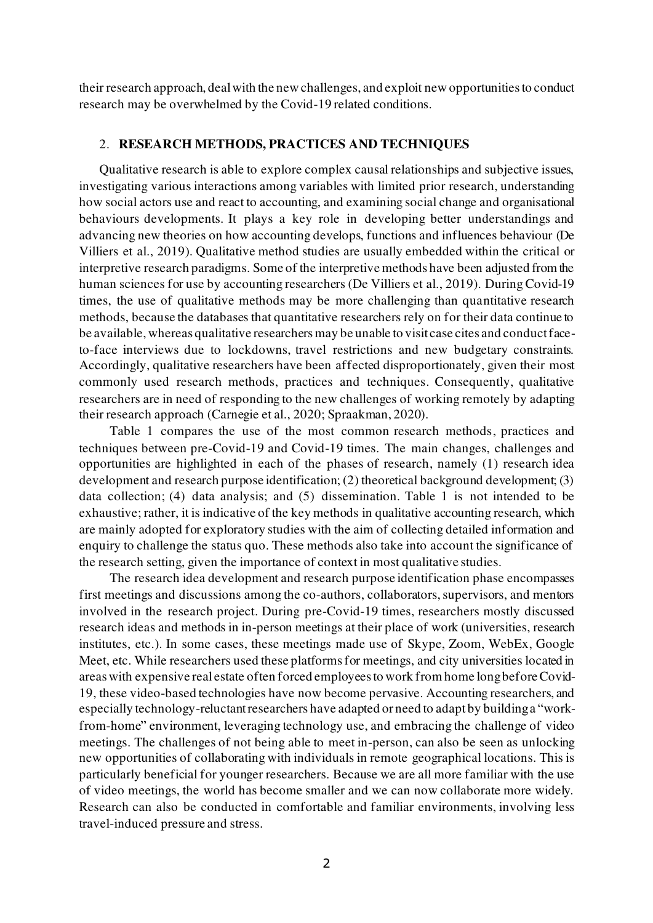their research approach, deal with the new challenges, and exploit new opportunities to conduct research may be overwhelmed by the Covid-19 related conditions.

## 2. **RESEARCH METHODS, PRACTICES AND TECHNIQUES**

Qualitative research is able to explore complex causal relationships and subjective issues, investigating various interactions among variables with limited prior research, understanding how social actors use and react to accounting, and examining social change and organisational behaviours developments. It plays a key role in developing better understandings and advancing new theories on how accounting develops, functions and influences behaviour (De Villiers et al., 2019). Qualitative method studies are usually embedded within the critical or interpretive research paradigms. Some of the interpretive methods have been adjusted from the human sciences for use by accounting researchers (De Villiers et al., 2019). During Covid-19 times, the use of qualitative methods may be more challenging than quantitative research methods, because the databases that quantitative researchers rely on for their data continue to be available, whereas qualitative researchers may be unable to visit case cites and conduct faceto-face interviews due to lockdowns, travel restrictions and new budgetary constraints. Accordingly, qualitative researchers have been affected disproportionately, given their most commonly used research methods, practices and techniques. Consequently, qualitative researchers are in need of responding to the new challenges of working remotely by adapting their research approach (Carnegie et al., 2020; Spraakman, 2020).

Table 1 compares the use of the most common research methods, practices and techniques between pre-Covid-19 and Covid-19 times. The main changes, challenges and opportunities are highlighted in each of the phases of research, namely (1) research idea development and research purpose identification; (2) theoretical background development; (3) data collection; (4) data analysis; and (5) dissemination. Table 1 is not intended to be exhaustive; rather, it is indicative of the key methods in qualitative accounting research, which are mainly adopted for exploratory studies with the aim of collecting detailed information and enquiry to challenge the status quo. These methods also take into account the significance of the research setting, given the importance of context in most qualitative studies.

The research idea development and research purpose identification phase encompasses first meetings and discussions among the co-authors, collaborators, supervisors, and mentors involved in the research project. During pre-Covid-19 times, researchers mostly discussed research ideas and methods in in-person meetings at their place of work (universities, research institutes, etc.). In some cases, these meetings made use of Skype, Zoom, WebEx, Google Meet, etc. While researchers used these platforms for meetings, and city universities located in areas with expensive real estate often forced employees to work from home long before Covid-19, these video-based technologies have now become pervasive. Accounting researchers, and especially technology-reluctant researchers have adapted or need to adapt by building a "workfrom-home" environment, leveraging technology use, and embracing the challenge of video meetings. The challenges of not being able to meet in-person, can also be seen as unlocking new opportunities of collaborating with individuals in remote geographical locations. This is particularly beneficial for younger researchers. Because we are all more familiar with the use of video meetings, the world has become smaller and we can now collaborate more widely. Research can also be conducted in comfortable and familiar environments, involving less travel-induced pressure and stress.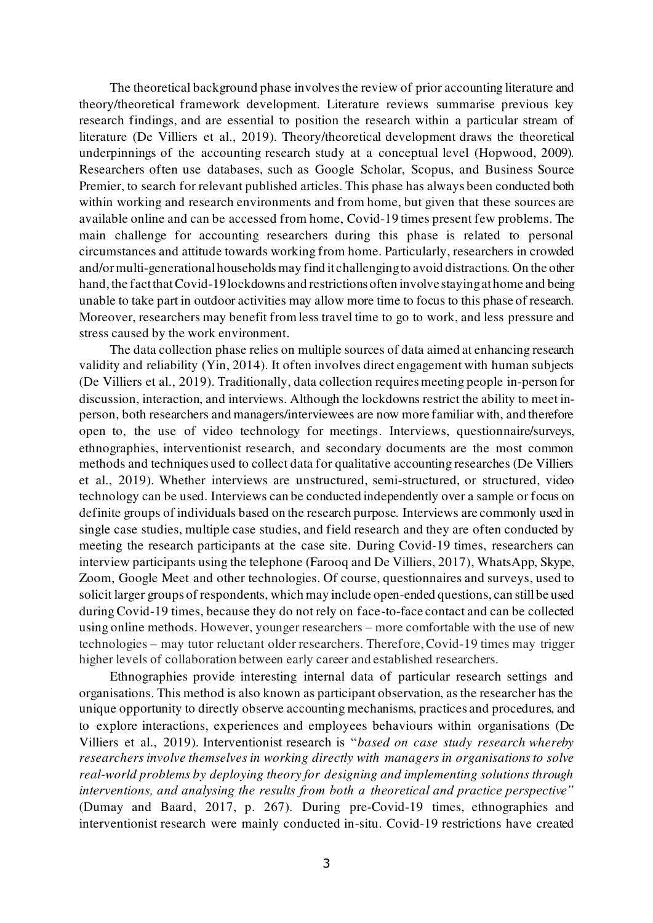The theoretical background phase involves the review of prior accounting literature and theory/theoretical framework development. Literature reviews summarise previous key research findings, and are essential to position the research within a particular stream of literature (De Villiers et al., 2019). Theory/theoretical development draws the theoretical underpinnings of the accounting research study at a conceptual level (Hopwood, 2009). Researchers often use databases, such as Google Scholar, Scopus, and Business Source Premier, to search for relevant published articles. This phase has always been conducted both within working and research environments and from home, but given that these sources are available online and can be accessed from home, Covid-19 times present few problems. The main challenge for accounting researchers during this phase is related to personal circumstances and attitude towards working from home. Particularly, researchers in crowded and/or multi-generational households may find it challenging to avoid distractions. On the other hand, the fact that Covid-19 lockdowns and restrictions often involve staying at home and being unable to take part in outdoor activities may allow more time to focus to this phase of research. Moreover, researchers may benefit from less travel time to go to work, and less pressure and stress caused by the work environment.

The data collection phase relies on multiple sources of data aimed at enhancing research validity and reliability (Yin, 2014). It often involves direct engagement with human subjects (De Villiers et al., 2019). Traditionally, data collection requires meeting people in-person for discussion, interaction, and interviews. Although the lockdowns restrict the ability to meet inperson, both researchers and managers/interviewees are now more familiar with, and therefore open to, the use of video technology for meetings. Interviews, questionnaire/surveys, ethnographies, interventionist research, and secondary documents are the most common methods and techniques used to collect data for qualitative accounting researches (De Villiers et al., 2019). Whether interviews are unstructured, semi-structured, or structured, video technology can be used. Interviews can be conducted independently over a sample or focus on definite groups of individuals based on the research purpose. Interviews are commonly used in single case studies, multiple case studies, and field research and they are often conducted by meeting the research participants at the case site. During Covid-19 times, researchers can interview participants using the telephone (Farooq and De Villiers, 2017), WhatsApp, Skype, Zoom, Google Meet and other technologies. Of course, questionnaires and surveys, used to solicit larger groups of respondents, which may include open-ended questions, can still be used during Covid-19 times, because they do not rely on face-to-face contact and can be collected using online methods. However, younger researchers – more comfortable with the use of new technologies – may tutor reluctant older researchers. Therefore, Covid-19 times may trigger higher levels of collaboration between early career and established researchers.

Ethnographies provide interesting internal data of particular research settings and organisations. This method is also known as participant observation, as the researcher has the unique opportunity to directly observe accounting mechanisms, practices and procedures, and to explore interactions, experiences and employees behaviours within organisations (De Villiers et al., 2019). Interventionist research is "*based on case study research whereby researchers involve themselves in working directly with managers in organisations to solve real-world problems by deploying theory for designing and implementing solutions through interventions, and analysing the results from both a theoretical and practice perspective"* (Dumay and Baard, 2017, p. 267). During pre-Covid-19 times, ethnographies and interventionist research were mainly conducted in-situ. Covid-19 restrictions have created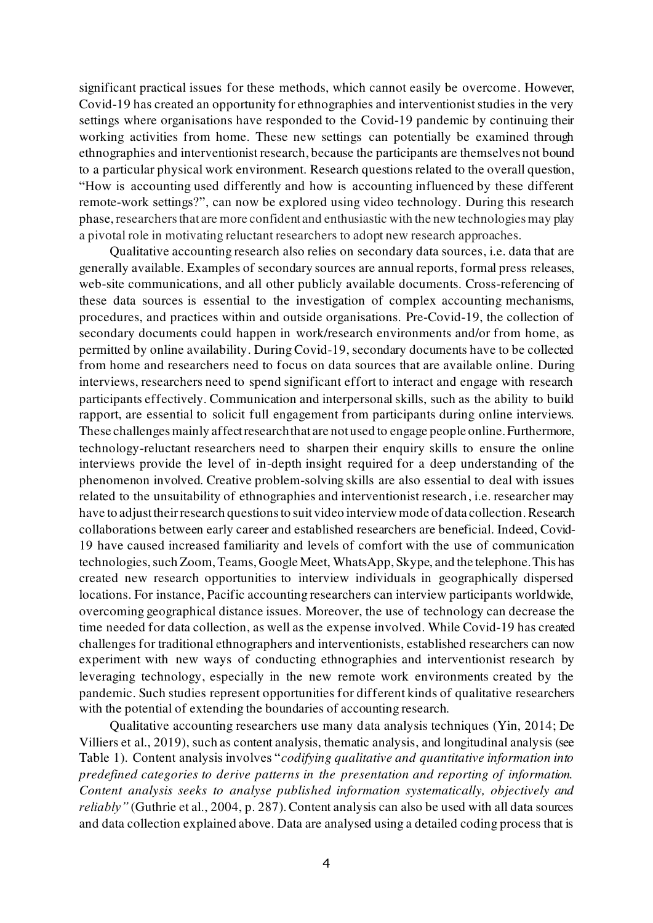significant practical issues for these methods, which cannot easily be overcome. However, Covid-19 has created an opportunity for ethnographies and interventionist studies in the very settings where organisations have responded to the Covid-19 pandemic by continuing their working activities from home. These new settings can potentially be examined through ethnographies and interventionist research, because the participants are themselves not bound to a particular physical work environment. Research questions related to the overall question, "How is accounting used differently and how is accounting influenced by these different remote-work settings?", can now be explored using video technology. During this research phase, researchers that are more confident and enthusiastic with the new technologies may play a pivotal role in motivating reluctant researchers to adopt new research approaches.

Qualitative accounting research also relies on secondary data sources, i.e. data that are generally available. Examples of secondary sources are annual reports, formal press releases, web-site communications, and all other publicly available documents. Cross-referencing of these data sources is essential to the investigation of complex accounting mechanisms, procedures, and practices within and outside organisations. Pre-Covid-19, the collection of secondary documents could happen in work/research environments and/or from home, as permitted by online availability. During Covid-19, secondary documents have to be collected from home and researchers need to focus on data sources that are available online. During interviews, researchers need to spend significant effort to interact and engage with research participants effectively. Communication and interpersonal skills, such as the ability to build rapport, are essential to solicit full engagement from participants during online interviews. These challenges mainly affect research that are not used to engage people online. Furthermore, technology-reluctant researchers need to sharpen their enquiry skills to ensure the online interviews provide the level of in-depth insight required for a deep understanding of the phenomenon involved. Creative problem-solving skills are also essential to deal with issues related to the unsuitability of ethnographies and interventionist research, i.e. researcher may have to adjust their research questions to suit video interview mode of data collection. Research collaborations between early career and established researchers are beneficial. Indeed, Covid-19 have caused increased familiarity and levels of comfort with the use of communication technologies, such Zoom, Teams, Google Meet, WhatsApp, Skype, and the telephone. This has created new research opportunities to interview individuals in geographically dispersed locations. For instance, Pacific accounting researchers can interview participants worldwide, overcoming geographical distance issues. Moreover, the use of technology can decrease the time needed for data collection, as well as the expense involved. While Covid-19 has created challenges for traditional ethnographers and interventionists, established researchers can now experiment with new ways of conducting ethnographies and interventionist research by leveraging technology, especially in the new remote work environments created by the pandemic. Such studies represent opportunities for different kinds of qualitative researchers with the potential of extending the boundaries of accounting research.

Qualitative accounting researchers use many data analysis techniques (Yin, 2014; De Villiers et al., 2019), such as content analysis, thematic analysis, and longitudinal analysis (see Table 1). Content analysis involves "*codifying qualitative and quantitative information into predefined categories to derive patterns in the presentation and reporting of information. Content analysis seeks to analyse published information systematically, objectively and reliably"* (Guthrie et al., 2004, p. 287). Content analysis can also be used with all data sources and data collection explained above. Data are analysed using a detailed coding process that is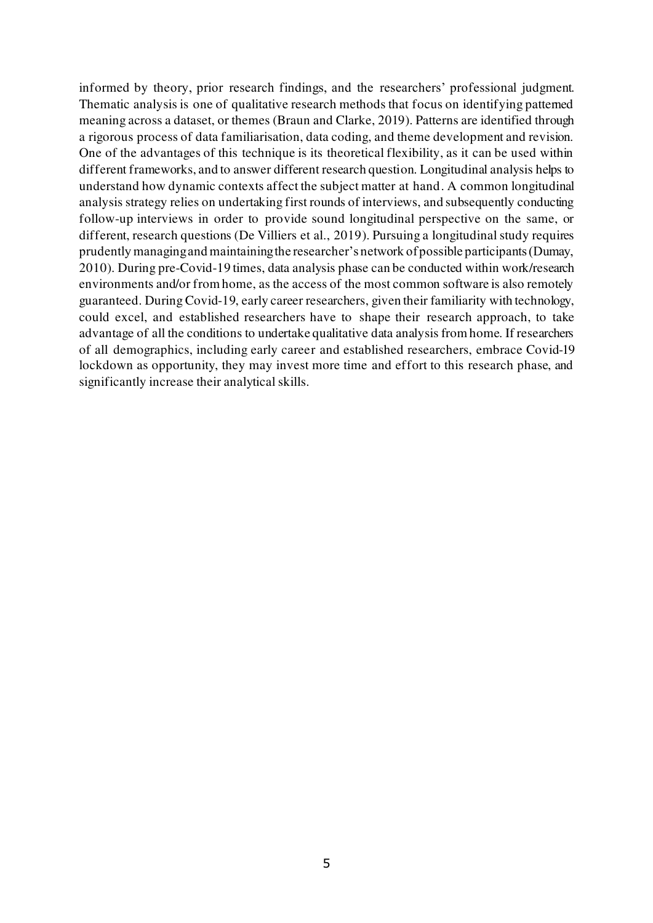informed by theory, prior research findings, and the researchers' professional judgment. Thematic analysis is one of qualitative research methods that focus on identifying patterned meaning across a dataset, or themes (Braun and Clarke, 2019). Patterns are identified through a rigorous process of data familiarisation, data coding, and theme development and revision. One of the advantages of this technique is its theoretical flexibility, as it can be used within different frameworks, and to answer different research question. Longitudinal analysis helps to understand how dynamic contexts affect the subject matter at hand. A common longitudinal analysis strategy relies on undertaking first rounds of interviews, and subsequently conducting follow-up interviews in order to provide sound longitudinal perspective on the same, or different, research questions (De Villiers et al., 2019). Pursuing a longitudinal study requires prudently managing and maintaining the researcher's network of possible participants (Dumay, 2010). During pre-Covid-19 times, data analysis phase can be conducted within work/research environments and/or from home, as the access of the most common software is also remotely guaranteed. During Covid-19, early career researchers, given their familiarity with technology, could excel, and established researchers have to shape their research approach, to take advantage of all the conditions to undertake qualitative data analysis from home. If researchers of all demographics, including early career and established researchers, embrace Covid-19 lockdown as opportunity, they may invest more time and effort to this research phase, and significantly increase their analytical skills.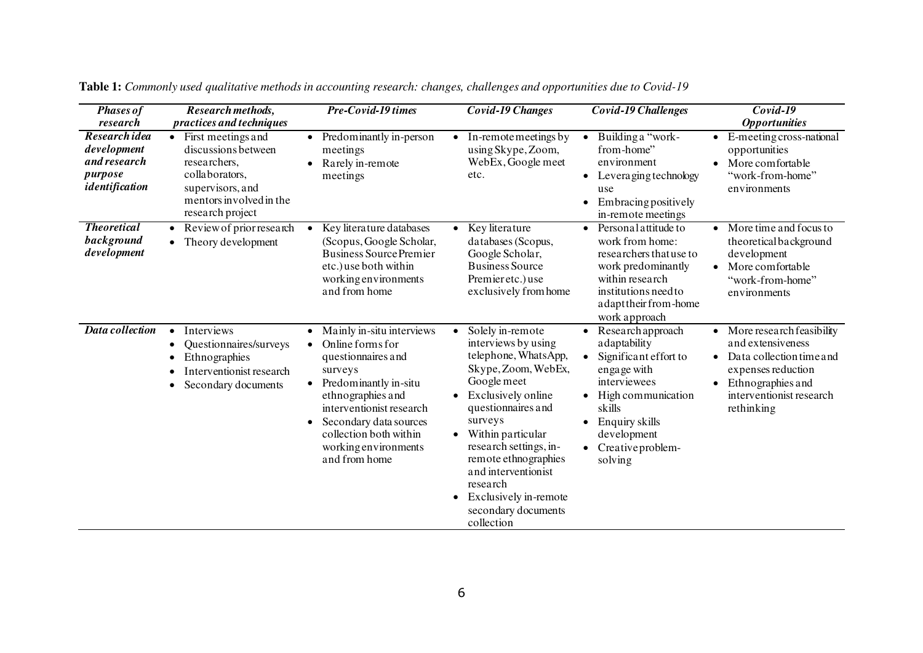| <b>Phases of</b><br>research                                              | Research methods,<br><i>practices and techniques</i>                                                                                                        | Pre-Covid-19 times                                                                                                                                                                                                                                                                           | Covid-19 Changes                                                                                                                                                                                                                                                                                                                                                                         | <b>Covid-19 Challenges</b>                                                                                                                                                                                                        | Covid-19<br><b>Opportunities</b>                                                                                                                                |
|---------------------------------------------------------------------------|-------------------------------------------------------------------------------------------------------------------------------------------------------------|----------------------------------------------------------------------------------------------------------------------------------------------------------------------------------------------------------------------------------------------------------------------------------------------|------------------------------------------------------------------------------------------------------------------------------------------------------------------------------------------------------------------------------------------------------------------------------------------------------------------------------------------------------------------------------------------|-----------------------------------------------------------------------------------------------------------------------------------------------------------------------------------------------------------------------------------|-----------------------------------------------------------------------------------------------------------------------------------------------------------------|
| Research idea<br>development<br>and research<br>purpose<br>identification | First meetings and<br>$\bullet$<br>discussions between<br>researchers.<br>collaborators,<br>supervisors, and<br>mentors involved in the<br>research project | Predominantly in-person<br>$\bullet$<br>meetings<br>Rarely in-remote<br>meetings                                                                                                                                                                                                             | In-remotemeetings by<br>$\bullet$<br>using Skype, Zoom,<br>WebEx, Google meet<br>etc.                                                                                                                                                                                                                                                                                                    | Building a "work-<br>$\bullet$<br>from-home"<br>environment<br>Leveraging technology<br>use<br><b>Embracing positively</b><br>$\bullet$<br>in-remote meetings                                                                     | E-meeting cross-national<br>opportunities<br>More comfortable<br>"work-from-home"<br>environments                                                               |
| <b>Theoretical</b><br>background<br>development                           | Review of prior research<br>• Theory development                                                                                                            | Key literature databases<br>$\bullet$<br>(Scopus, Google Scholar,<br><b>Business Source Premier</b><br>etc.) use both within<br>working environments<br>and from home                                                                                                                        | Key literature<br>$\bullet$<br>databases (Scopus,<br>Google Scholar,<br><b>Business Source</b><br>Premieretc.) use<br>exclusively from home                                                                                                                                                                                                                                              | Personal attitude to<br>$\bullet$<br>work from home:<br>researchers that use to<br>work predominantly<br>within research<br>institutions need to<br>adapt their from-home<br>work approach                                        | More time and focus to<br>theoretical background<br>development<br>More comfortable<br>"work-from-home"<br>environments                                         |
| Data collection                                                           | Interviews<br>$\bullet$<br>Questionnaires/surveys<br>Ethnographies<br>Interventionist research<br>Secondary documents                                       | Mainly in-situ interviews<br>$\bullet$<br>Online forms for<br>$\bullet$<br>questionnaires and<br>surveys<br>Predominantly in-situ<br>$\bullet$<br>ethnographies and<br>interventionist research<br>Secondary data sources<br>collection both within<br>working environments<br>and from home | Solely in-remote<br>$\bullet$<br>interviews by using<br>telephone, WhatsApp,<br>Skype, Zoom, WebEx,<br>Google meet<br>Exclusively online<br>$\bullet$<br>questionnaires and<br>surveys<br>Within particular<br>$\bullet$<br>research settings, in-<br>remote ethnographies<br>and interventionist<br>research<br>Exclusively in-remote<br>$\bullet$<br>secondary documents<br>collection | Research approach<br>adaptability<br>Significant effort to<br>$\bullet$<br>engage with<br>interviewees<br>High communication<br>$\bullet$<br>skills<br>Enquiry skills<br>development<br>Creative problem-<br>$\bullet$<br>solving | More research feasibility<br>and extensiveness<br>Data collection time and<br>expenses reduction<br>Ethnographies and<br>interventionist research<br>rethinking |

**Table 1:** *Commonly used qualitative methods in accounting research: changes, challenges and opportunities due to Covid-19*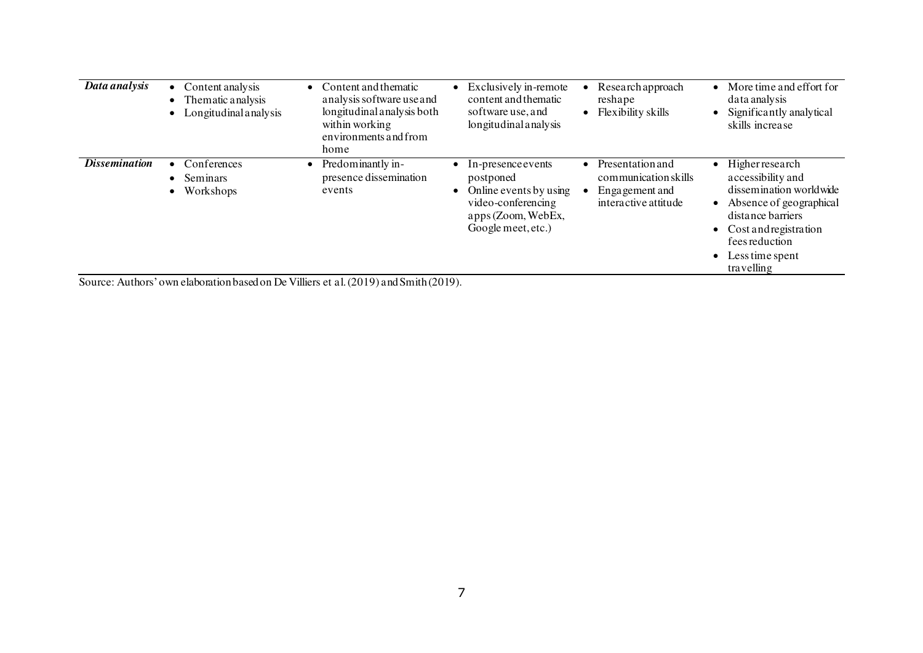| Data analysis               | Content analysis<br>$\bullet$<br>Thematic analysis<br>Longitudinal analysis | • Content and the matic<br>analysis software use and<br>longitudinal analysis both<br>within working<br>environments and from<br>home | Exclusively in-remote<br>content and thematic<br>software use, and<br>longitudinal analysis                                           | Research approach<br>reshape<br>Flexibility skills<br>$\bullet$                          | More time and effort for<br>data analysis<br>Significantly analytical<br>skills increase                                                                                                             |
|-----------------------------|-----------------------------------------------------------------------------|---------------------------------------------------------------------------------------------------------------------------------------|---------------------------------------------------------------------------------------------------------------------------------------|------------------------------------------------------------------------------------------|------------------------------------------------------------------------------------------------------------------------------------------------------------------------------------------------------|
| <i><b>Dissemination</b></i> | Conferences<br>Seminars<br>$\bullet$<br>Workshops                           | Predominantly in-<br>$\bullet$<br>presence dissemination<br>events                                                                    | $\bullet$ In-presence events<br>postponed<br>Online events by using<br>video-conferencing<br>apps (Zoom, WebEx,<br>Google meet, etc.) | Presentation and<br>٠<br>communication skills<br>Enga gement and<br>interactive attitude | <b>Higher research</b><br>accessibility and<br>dissemination worldwide<br>• Absence of geographical<br>distance barriers<br>Cost and registration<br>fees reduction<br>Less time spent<br>travelling |

Source: Authors' own elaboration based on De Villiers et al. (2019) and Smith (2019).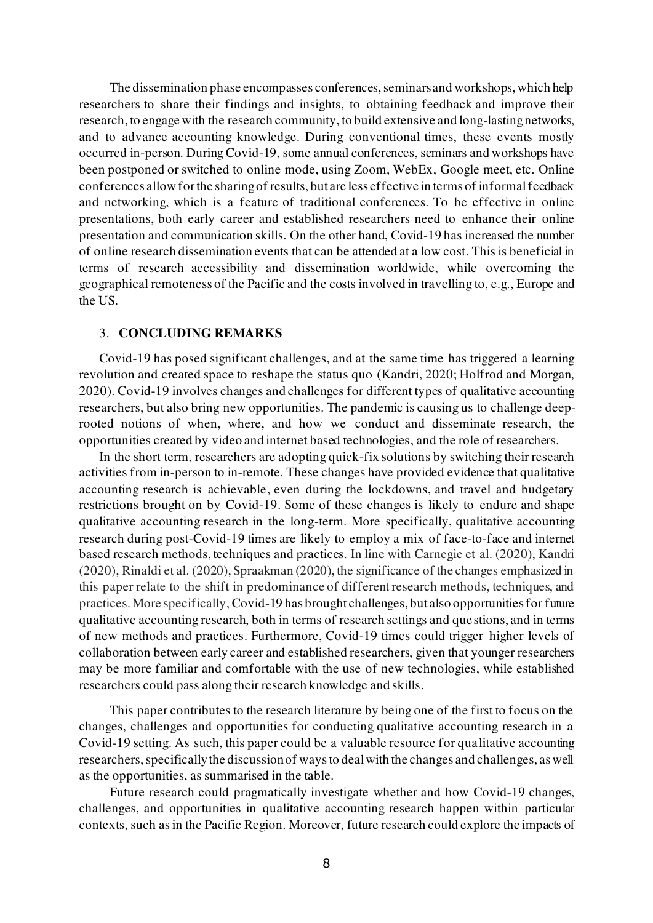The dissemination phase encompasses conferences, seminars and workshops, which help researchers to share their findings and insights, to obtaining feedback and improve their research, to engage with the research community, to build extensive and long-lasting networks, and to advance accounting knowledge. During conventional times, these events mostly occurred in-person. During Covid-19, some annual conferences, seminars and workshops have been postponed or switched to online mode, using Zoom, WebEx, Google meet, etc. Online conferences allow for the sharing of results, but are less effective in terms of informal feedback and networking, which is a feature of traditional conferences. To be effective in online presentations, both early career and established researchers need to enhance their online presentation and communication skills. On the other hand, Covid-19 has increased the number of online research dissemination events that can be attended at a low cost. This is beneficial in terms of research accessibility and dissemination worldwide, while overcoming the geographical remoteness of the Pacific and the costs involved in travelling to, e.g., Europe and the US.

## 3. **CONCLUDING REMARKS**

Covid-19 has posed significant challenges, and at the same time has triggered a learning revolution and created space to reshape the status quo (Kandri, 2020; Holfrod and Morgan, 2020). Covid-19 involves changes and challenges for different types of qualitative accounting researchers, but also bring new opportunities. The pandemic is causing us to challenge deeprooted notions of when, where, and how we conduct and disseminate research, the opportunities created by video and internet based technologies, and the role of researchers.

In the short term, researchers are adopting quick-fix solutions by switching their research activities from in-person to in-remote. These changes have provided evidence that qualitative accounting research is achievable, even during the lockdowns, and travel and budgetary restrictions brought on by Covid-19. Some of these changes is likely to endure and shape qualitative accounting research in the long-term. More specifically, qualitative accounting research during post-Covid-19 times are likely to employ a mix of face-to-face and internet based research methods, techniques and practices. In line with Carnegie et al. (2020), Kandri (2020), Rinaldi et al. (2020), Spraakman (2020), the significance of the changes emphasized in this paper relate to the shift in predominance of different research methods, techniques, and practices. More specifically, Covid-19 has brought challenges, but also opportunities for future qualitative accounting research, both in terms of research settings and questions, and in terms of new methods and practices. Furthermore, Covid-19 times could trigger higher levels of collaboration between early career and established researchers, given that younger researchers may be more familiar and comfortable with the use of new technologies, while established researchers could pass along their research knowledge and skills.

This paper contributes to the research literature by being one of the first to focus on the changes, challenges and opportunities for conducting qualitative accounting research in a Covid-19 setting. As such, this paper could be a valuable resource for qualitative accounting researchers, specifically the discussion of ways to deal with the changes and challenges, as well as the opportunities, as summarised in the table.

Future research could pragmatically investigate whether and how Covid-19 changes, challenges, and opportunities in qualitative accounting research happen within particular contexts, such as in the Pacific Region. Moreover, future research could explore the impacts of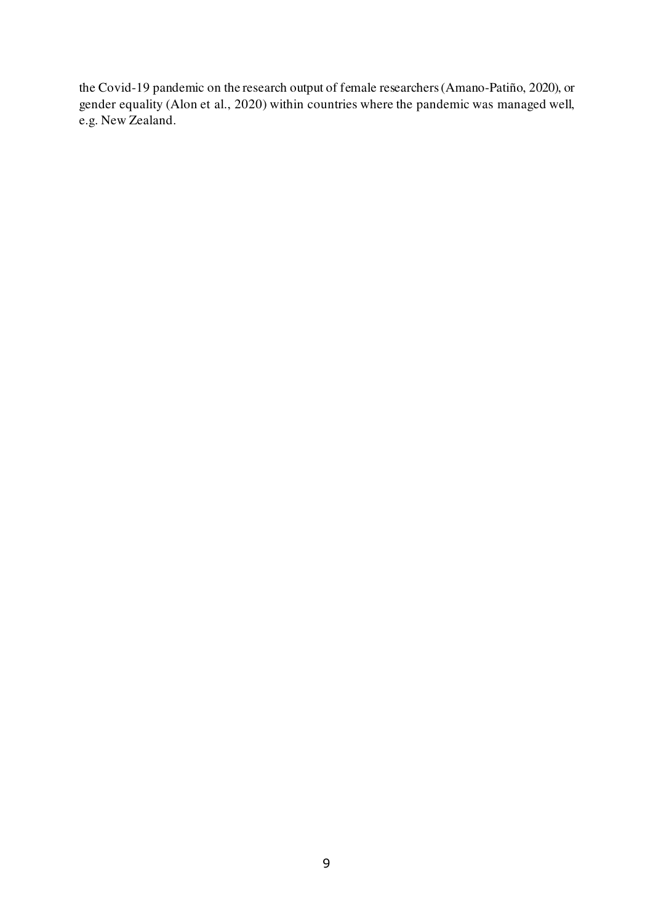the Covid-19 pandemic on the research output of female researchers (Amano-Patiño, 2020), or gender equality (Alon et al., 2020) within countries where the pandemic was managed well, e.g. New Zealand.